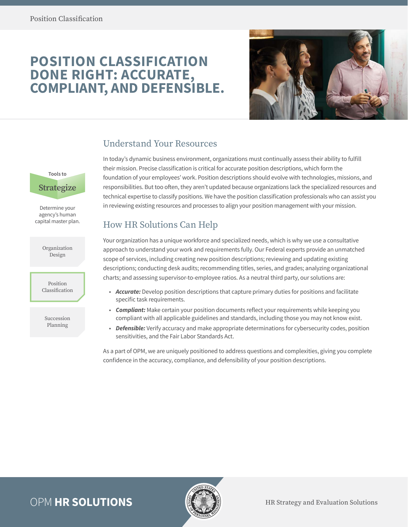# **POSITION CLASSIFICATION DONE RIGHT: ACCURATE, COMPLIANT, AND DEFENSIBLE.**



### Understand Your Resources

In today's dynamic business environment, organizations must continually assess their ability to fulfill their mission. Precise classification is critical for accurate position descriptions, which form the foundation of your employees' work. Position descriptions should evolve with technologies, missions, and responsibilities. But too often, they aren't updated because organizations lack the specialized resources and technical expertise to classify positions. We have the position classification professionals who can assist you in reviewing existing resources and processes to align your position management with your mission.

## How HR Solutions Can Help

Your organization has a unique workforce and specialized needs, which is why we use a consultative approach to understand your work and requirements fully. Our Federal experts provide an unmatched scope of services, including creating new position descriptions; reviewing and updating existing descriptions; conducting desk audits; recommending titles, series, and grades; analyzing organizational charts; and assessing supervisor-to-employee ratios. As a neutral third party, our solutions are:

- *Accurate:* Develop position descriptions that capture primary duties for positions and facilitate specific task requirements.
- *Compliant:* Make certain your position documents reflect your requirements while keeping you compliant with all applicable guidelines and standards, including those you may not know exist.
- *Defensible:* Verify accuracy and make appropriate determinations for cybersecurity codes, position sensitivities, and the Fair Labor Standards Act.

As a part of OPM, we are uniquely positioned to address questions and complexities, giving you complete confidence in the accuracy, compliance, and defensibility of your position descriptions.



Organization Design

Position Classification

Succession Planning